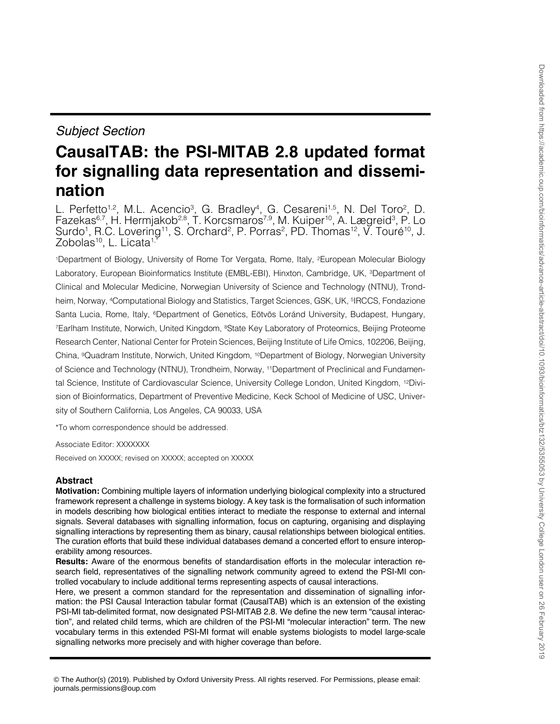## *Subject Section*

# **CausalTAB: the PSI-MITAB 2.8 updated format for signalling data representation and dissemination**

L. Perfetto<sup>1,2</sup>, M.L. Acencio<sup>3</sup>, G. Bradley<sup>4</sup>, G. Cesareni<sup>1,5</sup>, N. Del Toro<sup>2</sup>, D. Fazekas<sup>6,7</sup>, H. Hermjakob<sup>2,8</sup>, T. Korcsmaros<sup>7,9</sup>, M. Kuiper<sup>10</sup>, A. Lægreid<sup>3</sup>, P. Lo Surdo<sup>1</sup>, R.C. Lovering<sup>11</sup>, S. Orchard<sup>2</sup>, P. Porras<sup>2</sup>, PD. Thomas<sup>12</sup>, V. Touré<sup>10</sup>, J. Zobolas<sup>10</sup>, L. Licata<sup>1,</sup>

1Department of Biology, University of Rome Tor Vergata, Rome, Italy, 2European Molecular Biology Laboratory, European Bioinformatics Institute (EMBL-EBI), Hinxton, Cambridge, UK, <sup>3</sup>Department of Clinical and Molecular Medicine, Norwegian University of Science and Technology (NTNU), Trondheim, Norway, 4Computational Biology and Statistics, Target Sciences, GSK, UK, 5IRCCS, Fondazione Santa Lucia, Rome, Italy, <sup>6</sup>Department of Genetics, Eötvös Loránd University, Budapest, Hungary, <sup>7</sup>Earlham Institute, Norwich, United Kingdom, <sup>8</sup>State Key Laboratory of Proteomics, Beijing Proteome Research Center, National Center for Protein Sciences, Beijing Institute of Life Omics, 102206, Beijing, China , 9Quadram Institute, Norwich, United Kingdom, 10Department of Biology, Norwegian University of Science and Technology (NTNU), Trondheim, Norway , 11Department of Preclinical and Fundamental Science, Institute of Cardiovascular Science, University College London, United Kingdom, 12Division of Bioinformatics, Department of Preventive Medicine, Keck School of Medicine of USC, University of Southern California, Los Angeles, CA 90033, USA

\*To whom correspondence should be addressed.

Associate Editor: XXXXXXX

Received on XXXXX; r evised on XXXXX; accepted on XXXXX

### **Abstract**

**Motivation:** Combining multiple layers of information underlying biological complexity into a structured framework represent a challenge in systems biology. A key task is the formalisation of such information in models describing how biological entities interact to mediate the response to external and internal signals. Several databases with signalling information, focus on capturing, organising and displaying signalling interactions by representing them as binary, causal relationships between biological entities. The curation efforts that build these individual databases demand a concerted effort to ensure interoperability among resources.

**Results:** Aware of the enormous benefits of standardisation efforts in the molecular interaction research field, representatives of the signalling network community agreed to extend the PSI-MI controlled vocabulary to include additional terms representing aspects of causal interactions.

Here, we present a common standard for the representation and dissemination of signalling information: the PSI Causal Interaction tabular format (CausalTAB) which is an extension of the existing PSI-MI tab-delimited format, now designated PSI-MITAB 2.8. We define the new term "causal interaction", and related child terms, which are children of the PSI-MI "molecular interaction" term. The new vocabulary terms in this extended PSI -MI format will enable systems biologists to model large -scale signalling networks more precisely and with higher coverage than before.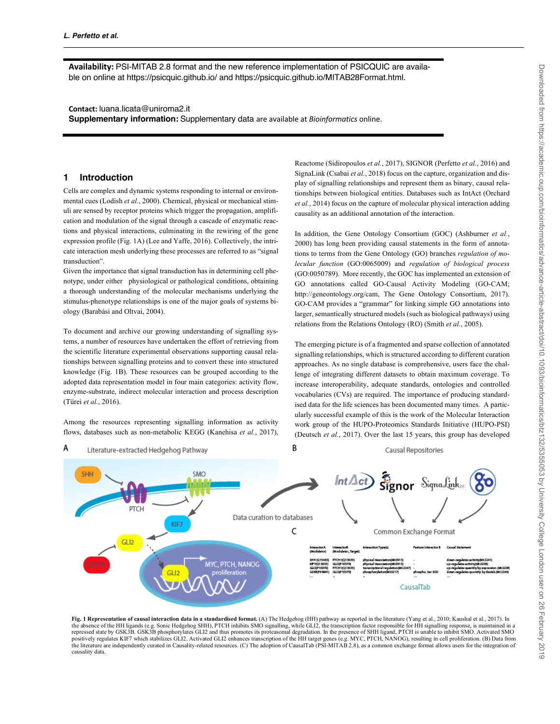**Availability:** PSI-MITAB 2.8 format and the new reference implementation of PSICQUIC are available on online at https://psicquic.github.io/ and https://psicquic.github.io/MITAB28Format.html.

**Contact:** luana.licata@uniroma2.it **Supplementary information:** Supplementary data are available at *Bioinformatics* online.

#### **1 Introduction**

Cells are complex and dynamic systems responding to internal or environmental cues (Lodish *et al.*, 2000). Chemical, physical or mechanical stimuli are sensed by receptor proteins which trigger the propagation, amplification and modulation of the signal through a cascade of enzymatic reactions and physical interactions, culminating in the rewiring of the gene expression profile (Fig. 1A) (Lee and Yaffe, 2016). Collectively, the intricate interaction mesh underlying these processes are referred to as "signal transduction".

Given the importance that signal transduction has in determining cell phenotype, under either physiological or pathological conditions, obtaining a thorough understanding of the molecular mechanisms underlying the stimulus-phenotype relationships is one of the major goals of systems biology (Barabási and Oltvai, 2004).

To document and archive our growing understanding of signalling systems, a number of resources have undertaken the effort of retrieving from the scientific literature experimental observations supporting causal relationships between signalling proteins and to convert these into structured knowledge (Fig. 1B). These resources can be grouped according to the adopted data representation model in four main categories: activity flow, enzyme-substrate, indirect molecular interaction and process description (Türei *et al.*, 2016).

Among the resources representing signalling information as activity flows, databases such as non-metabolic KEGG (Kanehisa *et al.*, 2017), Reactome (Sidiropoulos *et al.*, 2017), SIGNOR (Perfetto *et al.*, 2016) and SignaLink (Csabai *et al.*, 2018) focus on the capture, organization and display of signalling relationships and represent them as binary, causal relationships between biological entities. Databases such as IntAct (Orchard *et al.*, 2014) focus on the capture of molecular physical interaction adding causality as an additional annotation of the interaction.

In addition, the Gene Ontology Consortium (GOC) (Ashburner *et al.*, 2000) has long been providing causal statements in the form of annotations to terms from the Gene Ontology (GO) branches *regulation of molecular function* (GO:0065009) and *regulation of biological process* (GO:0050789). More recently, the GOC has implemented an extension of GO annotations called GO-Causal Activity Modeling (GO-CAM; http://geneontology.org/cam, The Gene Ontology Consortium, 2017). GO-CAM provides a "grammar" for linking simple GO annotations into larger, semantically structured models (such as biological pathways) using relations from the Relations Ontology (RO) (Smith *et al.*, 2005).

The emerging picture is of a fragmented and sparse collection of annotated signalling relationships, which is structured according to different curation approaches. As no single database is comprehensive, users face the challenge of integrating different datasets to obtain maximum coverage. To increase interoperability, adequate standards, ontologies and controlled vocabularies (CVs) are required. The importance of producing standardised data for the life sciences has been documented many times. A particularly successful example of this is the work of the Molecular Interaction work group of the HUPO-Proteomics Standards Initiative (HUPO-PSI) (Deutsch *et al.*, 2017). Over the last 15 years, this group has developed



Fig. 1 Representation of causal interaction data in a standardised format. (A) The Hedgehog (HH) pathway as reported in the literature (Yang et al., 2010; Kaushal et al., 2017). In<br>the absence of the HH ligands (e.g. Sonic repressed state by GSK3B. GSK3B phosphorylates GLI2 and thus promotes its proteasomal degradation. In the presence of SHH ligand, PTCH is unable to inhibit SMO. Activated SMO positively regulates KIF7 which stabilizes GLI2. Activated GLI2 enhances transcription of the HH target genes (e.g. MYC, PTCH, NANOG), resulting in cell proliferation. (B) Data from the literature are independently curated in Causality-related resources. (C) The adoption of CausalTab (PSI-MITAB 2.8), as a common exchange format allows users for the integration of causality data.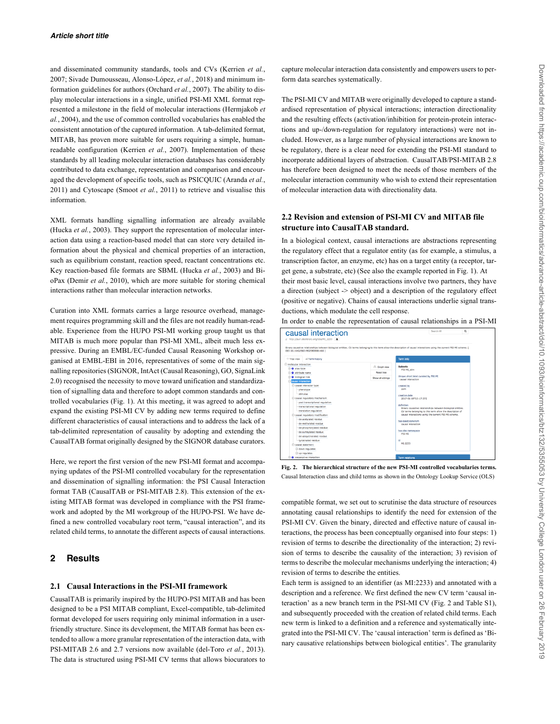and disseminated community standards, tools and CVs (Kerrien *et al.*, 2007; Sivade Dumousseau, Alonso-López, *et al.*, 2018) and minimum information guidelines for authors (Orchard *et al.*, 2007). The ability to display molecular interactions in a single, unified PSI-MI XML format represented a milestone in the field of molecular interactions (Hermjakob *et al.*, 2004), and the use of common controlled vocabularies has enabled the consistent annotation of the captured information. A tab-delimited format, MITAB, has proven more suitable for users requiring a simple, humanreadable configuration (Kerrien *et al.*, 2007). Implementation of these standards by all leading molecular interaction databases has considerably contributed to data exchange, representation and comparison and encouraged the development of specific tools, such as PSICQUIC (Aranda *et al.*, 2011) and Cytoscape (Smoot *et al.*, 2011) to retrieve and visualise this information.

XML formats handling signalling information are already available (Hucka *et al.*, 2003). They support the representation of molecular interaction data using a reaction-based model that can store very detailed information about the physical and chemical properties of an interaction, such as equilibrium constant, reaction speed, reactant concentrations etc. Key reaction-based file formats are SBML (Hucka *et al.*, 2003) and BioPax (Demir *et al.*, 2010), which are more suitable for storing chemical interactions rather than molecular interaction networks.

Curation into XML formats carries a large resource overhead, management requires programming skill and the files are not readily human-readable. Experience from the HUPO PSI-MI working group taught us that MITAB is much more popular than PSI-MI XML, albeit much less expressive. During an EMBL/EC-funded Causal Reasoning Workshop organised at EMBL-EBI in 2016, representatives of some of the main signalling repositories (SIGNOR, IntAct (Causal Reasoning), GO, SignaLink 2.0) recognised the necessity to move toward unification and standardization of signalling data and therefore to adopt common standards and controlled vocabularies (Fig. 1). At this meeting, it was agreed to adopt and expand the existing PSI-MI CV by adding new terms required to define different characteristics of causal interactions and to address the lack of a tab-delimited representation of causality by adopting and extending the CausalTAB format originally designed by the SIGNOR database curators.

Here, we report the first version of the new PSI-MI format and accompanying updates of the PSI-MI controlled vocabulary for the representation and dissemination of signalling information: the PSI Causal Interaction format TAB (CausalTAB or PSI-MITAB 2.8). This extension of the existing MITAB format was developed in compliance with the PSI framework and adopted by the MI workgroup of the HUPO-PSI. We have defined a new controlled vocabulary root term, "causal interaction", and its related child terms, to annotate the different aspects of causal interactions.

#### **2 Results**

#### **2.1 Causal Interactions in the PSI-MI framework**

CausalTAB is primarily inspired by the HUPO-PSI MITAB and has been designed to be a PSI MITAB compliant, Excel-compatible, tab-delimited format developed for users requiring only minimal information in a userfriendly structure. Since its development, the MITAB format has been extended to allow a more granular representation of the interaction data, with PSI-MITAB 2.6 and 2.7 versions now available (del-Toro *et al.*, 2013). The data is structured using PSI-MI CV terms that allows biocurators to capture molecular interaction data consistently and empowers users to perform data searches systematically.

The PSI-MI CV and MITAB were originally developed to capture a standardised representation of physical interactions; interaction directionality and the resulting effects (activation/inhibition for protein-protein interactions and up-/down-regulation for regulatory interactions) were not included. However, as a large number of physical interactions are known to be regulatory, there is a clear need for extending the PSI-MI standard to incorporate additional layers of abstraction. CausalTAB/PSI-MITAB 2.8 has therefore been designed to meet the needs of those members of the molecular interaction community who wish to extend their representation of molecular interaction data with directionality data.

#### **2.2 Revision and extension of PSI-MI CV and MITAB file structure into CausalTAB standard.**

In a biological context, causal interactions are abstractions representing the regulatory effect that a regulator entity (as for example, a stimulus, a transcription factor, an enzyme, etc) has on a target entity (a receptor, target gene, a substrate, etc) (See also the example reported in Fig. 1). At their most basic level, causal interactions involve two partners, they have a direction (subject -> object) and a description of the regulatory effect (positive or negative). Chains of causal interactions underlie signal transductions, which modulate the cell response.

|  |  |  |  |  |  | In order to enable the representation of causal relationships in a PSI-MI |  |  |  |  |  |  |
|--|--|--|--|--|--|---------------------------------------------------------------------------|--|--|--|--|--|--|
|--|--|--|--|--|--|---------------------------------------------------------------------------|--|--|--|--|--|--|

| DOI:10.1142/S0219525908001465 ]          |                                                                                                                                       | Binary causative relationships between biological entities. CV terms belonging to this term allow the description of causal interactions using the current PSI-MI schema. [ |  |  |  |  |  |
|------------------------------------------|---------------------------------------------------------------------------------------------------------------------------------------|-----------------------------------------------------------------------------------------------------------------------------------------------------------------------------|--|--|--|--|--|
| -1-Tree view<br>all Term history         |                                                                                                                                       | Term info                                                                                                                                                                   |  |  |  |  |  |
| molecular interaction                    | - Graph view                                                                                                                          | <b>Subsets</b>                                                                                                                                                              |  |  |  |  |  |
| <b>Q</b> alias type<br>œ,                |                                                                                                                                       | PSI-MI slim                                                                                                                                                                 |  |  |  |  |  |
| <b>Q</b> attribute name                  | Reset tree                                                                                                                            |                                                                                                                                                                             |  |  |  |  |  |
| · O biological role                      | Show all siblings                                                                                                                     | Unique short label curated by PSI-MI<br>causal interaction                                                                                                                  |  |  |  |  |  |
| causal interaction                       |                                                                                                                                       |                                                                                                                                                                             |  |  |  |  |  |
| <b>E</b> causal interactor type          | created by<br>ppm<br>creation date<br>2017-01-19T13:17:37Z                                                                            |                                                                                                                                                                             |  |  |  |  |  |
| phenotype                                |                                                                                                                                       |                                                                                                                                                                             |  |  |  |  |  |
| stimulus                                 |                                                                                                                                       |                                                                                                                                                                             |  |  |  |  |  |
| <b>E</b> causal regulatory mechanism     |                                                                                                                                       |                                                                                                                                                                             |  |  |  |  |  |
| post transcriptional requlation          |                                                                                                                                       |                                                                                                                                                                             |  |  |  |  |  |
| transcriptional regulation               |                                                                                                                                       | definition<br>Binary causative relationships between biological entities.                                                                                                   |  |  |  |  |  |
| translation regulation                   | CV terms belonging to this term allow the description of<br>causal interactions using the current PSI-MI schema.<br>has exact synonym |                                                                                                                                                                             |  |  |  |  |  |
| <b>El causal regulatory modification</b> |                                                                                                                                       |                                                                                                                                                                             |  |  |  |  |  |
| de-acetylated residue                    |                                                                                                                                       |                                                                                                                                                                             |  |  |  |  |  |
| de-methylated residue                    | causal interaction                                                                                                                    |                                                                                                                                                                             |  |  |  |  |  |
| de-phosphorylated residue                |                                                                                                                                       |                                                                                                                                                                             |  |  |  |  |  |
| de-sumoylated residue                    | has obo namespace<br>PSI-MI                                                                                                           |                                                                                                                                                                             |  |  |  |  |  |
| de-ubiquitinvlated residue               |                                                                                                                                       |                                                                                                                                                                             |  |  |  |  |  |
| tyrosinated residue                      |                                                                                                                                       | id                                                                                                                                                                          |  |  |  |  |  |
| Fi-causal statement                      | MI:2233                                                                                                                               |                                                                                                                                                                             |  |  |  |  |  |
| <b>E</b> down-regulates                  |                                                                                                                                       |                                                                                                                                                                             |  |  |  |  |  |
| <b>III</b> up-regulates                  |                                                                                                                                       |                                                                                                                                                                             |  |  |  |  |  |
| <b>Q</b> cooperative interaction         |                                                                                                                                       | <b>Term relations</b>                                                                                                                                                       |  |  |  |  |  |

**Fig. 2. The hierarchical structure of the new PSI-MI controlled vocabularies terms.**  Causal Interaction class and child terms as shown in the Ontology Lookup Service (OLS)

compatible format, we set out to scrutinise the data structure of resources annotating causal relationships to identify the need for extension of the PSI-MI CV. Given the binary, directed and effective nature of causal interactions, the process has been conceptually organised into four steps: 1) revision of terms to describe the directionality of the interaction; 2) revision of terms to describe the causality of the interaction; 3) revision of terms to describe the molecular mechanisms underlying the interaction; 4) revision of terms to describe the entities.

Each term is assigned to an identifier (as MI:2233) and annotated with a description and a reference. We first defined the new CV term 'causal interaction' as a new branch term in the PSI-MI CV (Fig. 2 and Table S1), and subsequently proceeded with the creation of related child terms. Each new term is linked to a definition and a reference and systematically integrated into the PSI-MI CV. The 'causal interaction' term is defined as 'Binary causative relationships between biological entities'. The granularity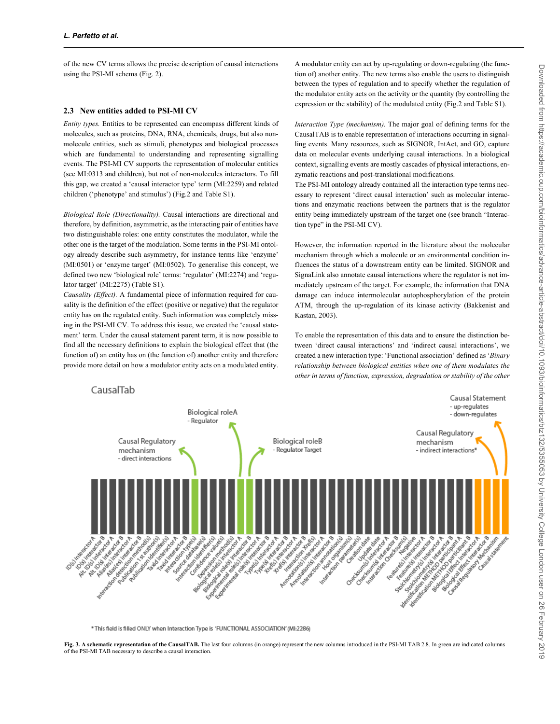of the new CV terms allows the precise description of causal interactions using the PSI-MI schema (Fig. 2).

#### **2.3 New entities added to PSI-MI CV**

*Entity types.* Entities to be represented can encompass different kinds of molecules, such as proteins, DNA, RNA, chemicals, drugs, but also nonmolecule entities, such as stimuli, phenotypes and biological processes which are fundamental to understanding and representing signalling events. The PSI-MI CV supports the representation of molecular entities (see MI:0313 and children), but not of non-molecules interactors. To fill this gap, we created a 'causal interactor type' term (MI:2259) and related children ('phenotype' and stimulus') (Fig.2 and Table S1).

*Biological Role (Directionality).* Causal interactions are directional and therefore, by definition, asymmetric, as the interacting pair of entities have two distinguishable roles: one entity constitutes the modulator, while the other one is the target of the modulation. Some terms in the PSI-MI ontology already describe such asymmetry, for instance terms like 'enzyme' (MI:0501) or 'enzyme target' (MI:0502). To generalise this concept, we defined two new 'biological role' terms: 'regulator' (MI:2274) and 'regulator target' (MI:2275) (Table S1).

*Causality (Effect).* A fundamental piece of information required for causality is the definition of the effect (positive or negative) that the regulator entity has on the regulated entity. Such information was completely missing in the PSI-MI CV. To address this issue, we created the 'causal statement' term. Under the causal statement parent term, it is now possible to find all the necessary definitions to explain the biological effect that (the function of) an entity has on (the function of) another entity and therefore provide more detail on how a modulator entity acts on a modulated entity.

A modulator entity can act by up-regulating or down-regulating (the function of) another entity. The new terms also enable the users to distinguish between the types of regulation and to specify whether the regulation of the modulator entity acts on the activity or the quantity (by controlling the expression or the stability) of the modulated entity (Fig.2 and Table S1).

*Interaction Type (mechanism).* The major goal of defining terms for the CausalTAB is to enable representation of interactions occurring in signalling events. Many resources, such as SIGNOR, IntAct, and GO, capture data on molecular events underlying causal interactions. In a biological context, signalling events are mostly cascades of physical interactions, enzymatic reactions and post-translational modifications.

The PSI-MI ontology already contained all the interaction type terms necessary to represent 'direct causal interaction' such as molecular interactions and enzymatic reactions between the partners that is the regulator entity being immediately upstream of the target one (see branch "Interaction type" in the PSI-MI CV).

However, the information reported in the literature about the molecular mechanism through which a molecule or an environmental condition influences the status of a downstream entity can be limited. SIGNOR and SignaLink also annotate causal interactions where the regulator is not immediately upstream of the target. For example, the information that DNA damage can induce intermolecular autophosphorylation of the protein ATM, through the up-regulation of its kinase activity (Bakkenist and Kastan, 2003).

To enable the representation of this data and to ensure the distinction between 'direct causal interactions' and 'indirect causal interactions', we created a new interaction type: 'Functional association' defined as '*Binary relationship between biological entities when one of them modulates the other in terms of function, expression, degradation or stability of the other* 



\* This field is filled ONLY when Interaction Type is 'FUNCTIONAL ASSOCIATION' (MI:2286)

**Fig. 3. A schematic representation of the CausalTAB.** The last four columns (in orange) represent the new columns introduced in the PSI-MI TAB 2.8. In green are indicated columns of the PSI-MI TAB necessary to describe a causal interaction.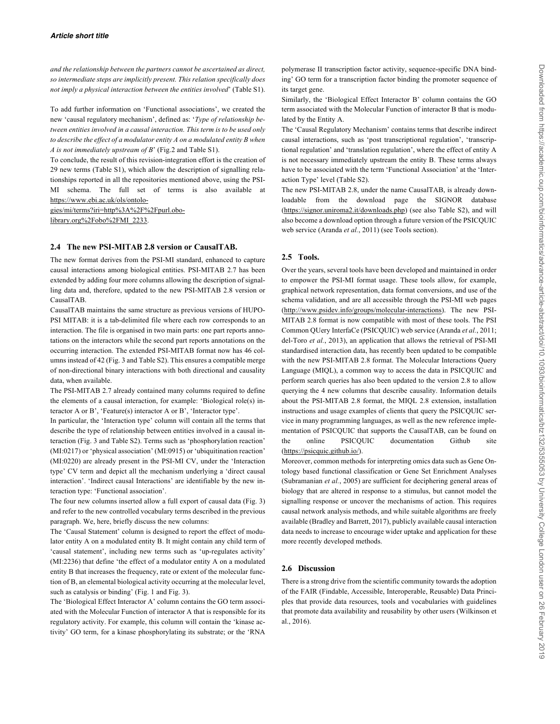*and the relationship between the partners cannot be ascertained as direct, so intermediate steps are implicitly present. This relation specifically does not imply a physical interaction between the entities involved*' (Table S1).

To add further information on 'Functional associations', we created the new 'causal regulatory mechanism', defined as: '*Type of relationship between entities involved in a causal interaction. This term is to be used only to describe the effect of a modulator entity A on a modulated entity B when A is not immediately upstream of B*' (Fig.2 and Table S1).

To conclude, the result of this revision-integration effort is the creation of 29 new terms (Table S1), which allow the description of signalling relationships reported in all the repositories mentioned above, using the PSI-MI schema. The full set of terms is also available at https://www.ebi.ac.uk/ols/ontolo-

gies/mi/terms?iri=http%3A%2F%2Fpurl.obolibrary.org%2Fobo%2FMI\_2233.

#### **2.4 The new PSI-MITAB 2.8 version or CausalTAB.**

The new format derives from the PSI-MI standard, enhanced to capture causal interactions among biological entities. PSI-MITAB 2.7 has been extended by adding four more columns allowing the description of signalling data and, therefore, updated to the new PSI-MITAB 2.8 version or CausalTAB.

CausalTAB maintains the same structure as previous versions of HUPO-PSI MITAB: it is a tab-delimited file where each row corresponds to an interaction. The file is organised in two main parts: one part reports annotations on the interactors while the second part reports annotations on the occurring interaction. The extended PSI-MITAB format now has 46 columns instead of 42 (Fig. 3 and Table S2). This ensures a compatible merge of non-directional binary interactions with both directional and causality data, when available.

The PSI-MITAB 2.7 already contained many columns required to define the elements of a causal interaction, for example: 'Biological role(s) interactor A or B', 'Feature(s) interactor A or B', 'Interactor type'.

In particular, the 'Interaction type' column will contain all the terms that describe the type of relationship between entities involved in a causal interaction (Fig. 3 and Table S2). Terms such as 'phosphorylation reaction' (MI:0217) or 'physical association' (MI:0915) or 'ubiquitination reaction' (MI:0220) are already present in the PSI-MI CV, under the 'Interaction type' CV term and depict all the mechanism underlying a 'direct causal interaction'. 'Indirect causal Interactions' are identifiable by the new interaction type: 'Functional association'.

The four new columns inserted allow a full export of causal data (Fig. 3) and refer to the new controlled vocabulary terms described in the previous paragraph. We, here, briefly discuss the new columns:

The 'Causal Statement' column is designed to report the effect of modulator entity A on a modulated entity B. It might contain any child term of 'causal statement', including new terms such as 'up-regulates activity' (MI:2236) that define 'the effect of a modulator entity A on a modulated entity B that increases the frequency, rate or extent of the molecular function of B, an elemental biological activity occurring at the molecular level, such as catalysis or binding' (Fig. 1 and Fig. 3).

The 'Biological Effect Interactor A' column contains the GO term associated with the Molecular Function of interactor A that is responsible for its regulatory activity. For example, this column will contain the 'kinase activity' GO term, for a kinase phosphorylating its substrate; or the 'RNA polymerase II transcription factor activity, sequence-specific DNA binding' GO term for a transcription factor binding the promoter sequence of its target gene.

Similarly, the 'Biological Effect Interactor B' column contains the GO term associated with the Molecular Function of interactor B that is modulated by the Entity A.

The 'Causal Regulatory Mechanism' contains terms that describe indirect causal interactions, such as 'post transcriptional regulation', 'transcriptional regulation' and 'translation regulation', where the effect of entity A is not necessary immediately upstream the entity B. These terms always have to be associated with the term 'Functional Association' at the 'Interaction Type' level (Table S2).

The new PSI-MITAB 2.8, under the name CausalTAB, is already downloadable from the download page the SIGNOR database (https://signor.uniroma2.it/downloads.php) (see also Table S2), and will also become a download option through a future version of the PSICQUIC web service (Aranda *et al.*, 2011) (see Tools section).

#### **2.5 Tools.**

Over the years, several tools have been developed and maintained in order to empower the PSI-MI format usage. These tools allow, for example, graphical network representation, data format conversions, and use of the schema validation, and are all accessible through the PSI-MI web pages (http://www.psidev.info/groups/molecular-interactions). The new PSI-MITAB 2.8 format is now compatible with most of these tools. The PSI Common QUery InterfaCe (PSICQUIC) web service (Aranda *et al.*, 2011; del-Toro *et al.*, 2013), an application that allows the retrieval of PSI-MI standardised interaction data, has recently been updated to be compatible with the new PSI-MITAB 2.8 format. The Molecular Interactions Query Language (MIQL), a common way to access the data in PSICQUIC and perform search queries has also been updated to the version 2.8 to allow querying the 4 new columns that describe causality. Information details about the PSI-MITAB 2.8 format, the MIQL 2.8 extension, installation instructions and usage examples of clients that query the PSICQUIC service in many programming languages, as well as the new reference implementation of PSICQUIC that supports the CausalTAB, can be found on the online PSICQUIC documentation Github site (https://psicquic.github.io/).

Moreover, common methods for interpreting omics data such as Gene Ontology based functional classification or Gene Set Enrichment Analyses (Subramanian *et al.*, 2005) are sufficient for deciphering general areas of biology that are altered in response to a stimulus, but cannot model the signalling response or uncover the mechanisms of action. This requires causal network analysis methods, and while suitable algorithms are freely available (Bradley and Barrett, 2017), publicly available causal interaction data needs to increase to encourage wider uptake and application for these more recently developed methods.

#### **2.6 Discussion**

There is a strong drive from the scientific community towards the adoption of the FAIR (Findable, Accessible, Interoperable, Reusable) Data Principles that provide data resources, tools and vocabularies with guidelines that promote data availability and reusability by other users (Wilkinson et al., 2016).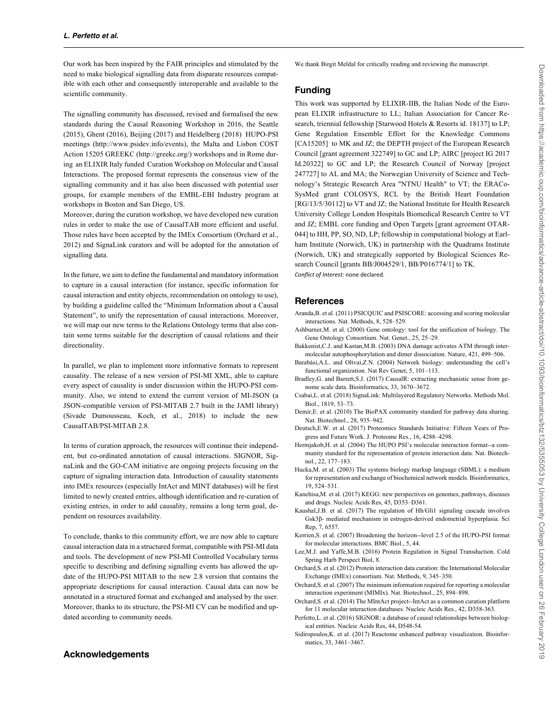Our work has been inspired by the FAIR principles and stimulated by the need to make biological signalling data from disparate resources compatible with each other and consequently interoperable and available to the scientific community.

The signalling community has discussed, revised and formalised the new standards during the Causal Reasoning Workshop in 2016, the Seattle (2015), Ghent (2016), Beijing (2017) and Heidelberg (2018) HUPO-PSI meetings (http://www.psidev.info/events), the Malta and Lisbon COST Action 15205 GREEKC (http://greekc.org/) workshops and in Rome during an ELIXIR Italy funded Curation Workshop on Molecular and Causal Interactions. The proposed format represents the consensus view of the signalling community and it has also been discussed with potential user groups, for example members of the EMBL-EBI Industry program at workshops in Boston and San Diego, US.

Moreover, during the curation workshop, we have developed new curation rules in order to make the use of CausalTAB more efficient and useful. Those rules have been accepted by the IMEx Consortium (Orchard et al., 2012) and SignaLink curators and will be adopted for the annotation of signalling data.

In the future, we aim to define the fundamental and mandatory information to capture in a causal interaction (for instance, specific information for causal interaction and entity objects, recommendation on ontology to use), by building a guideline called the "Minimum Information about a Causal Statement", to unify the representation of causal interactions. Moreover, we will map our new terms to the Relations Ontology terms that also contain some terms suitable for the description of causal relations and their directionality.

In parallel, we plan to implement more informative formats to represent causality. The release of a new version of PSI-MI XML, able to capture every aspect of causality is under discussion within the HUPO-PSI community. Also, we intend to extend the current version of MI-JSON (a JSON-compatible version of PSI-MITAB 2.7 built in the JAMI library) (Sivade Dumousseau, Koch, et al., 2018) to include the new CausalTAB/PSI-MITAB 2.8.

In terms of curation approach, the resources will continue their independent, but co-ordinated annotation of causal interactions. SIGNOR, SignaLink and the GO-CAM initiative are ongoing projects focusing on the capture of signaling interaction data. Introduction of causality statements into IMEx resources (especially IntAct and MINT databases) will be first limited to newly created entries, although identification and re-curation of existing entries, in order to add causality, remains a long term goal, dependent on resources availability.

To conclude, thanks to this community effort, we are now able to capture causal interaction data in a structured format, compatible with PSI-MI data and tools. The development of new PSI-MI Controlled Vocabulary terms specific to describing and defining signalling events has allowed the update of the HUPO-PSI MITAB to the new 2.8 version that contains the appropriate descriptions for causal interaction. Causal data can now be annotated in a structured format and exchanged and analysed by the user. Moreover, thanks to its structure, the PSI-MI CV can be modified and updated according to community needs.

#### **Acknowledgements**

We thank Birgit Meldal for critically reading and reviewing the manuscript.

#### **Funding**

This work was supported by ELIXIR-IIB, the Italian Node of the European ELIXIR infrastructure to LL; Italian Association for Cancer Research, triennial fellowship [Starwood Hotels & Resorts id. 18137] to LP; Gene Regulation Ensemble Effort for the Knowledge Commons [CA15205] to MK and JZ; the DEPTH project of the European Research Council [grant agreement 322749] to GC and LP; AIRC [project IG 2017 Id.20322] to GC and LP; the Research Council of Norway [project 247727] to AL and MA; the Norwegian University of Science and Technology's Strategic Research Area "NTNU Health" to VT; the ERACo-SysMed grant COLOSYS, RCL by the British Heart Foundation [RG/13/5/30112] to VT and JZ; the National Institute for Health Research University College London Hospitals Biomedical Research Centre to VT and JZ; EMBL core funding and Open Targets [grant agreement OTAR-044] to HH, PP, SO, ND, LP; fellowship in computational biology at Earlham Institute (Norwich, UK) in partnership with the Quadrams Institute (Norwich, UK) and strategically supported by Biological Sciences Research Council [grants BB/J004529/1, BB/P016774/1] to TK. *Conflict of Interest:* none declared.

#### **References**

- Aranda,B. et al. (2011) PSICQUIC and PSISCORE: accessing and scoring molecular interactions. Nat. Methods, 8, 528–529.
- Ashburner,M. et al. (2000) Gene ontology: tool for the unification of biology. The Gene Ontology Consortium. Nat. Genet., 25, 25–29.
- Bakkenist,C.J. and Kastan,M.B. (2003) DNA damage activates ATM through intermolecular autophosphorylation and dimer dissociation. Nature, 421, 499–506.
- Barabási,A.L. and Oltvai,Z.N. (2004) Network biology: understanding the cell's functional organization. Nat Rev Genet, 5, 101–113.
- Bradley,G. and Barrett,S.J. (2017) CausalR: extracting mechanistic sense from genome scale data. Bioinformatics, 33, 3670–3672.
- Csabai,L. et al. (2018) SignaLink: Multilayered Regulatory Networks. Methods Mol. Biol., 1819, 53–73.
- Demir,E. et al. (2010) The BioPAX community standard for pathway data sharing. Nat. Biotechnol., 28, 935–942.
- Deutsch,E.W. et al. (2017) Proteomics Standards Initiative: Fifteen Years of Progress and Future Work. J. Proteome Res., 16, 4288–4298.
- Hermjakob,H. et al. (2004) The HUPO PSI's molecular interaction format--a community standard for the representation of protein interaction data. Nat. Biotechnol., 22, 177–183.
- Hucka,M. et al. (2003) The systems biology markup language (SBML): a medium for representation and exchange of biochemical network models. Bioinformatics, 19, 524–531.
- Kanehisa,M. et al. (2017) KEGG: new perspectives on genomes, pathways, diseases and drugs. Nucleic Acids Res, 45, D353–D361.
- Kaushal,J.B. et al. (2017) The regulation of Hh/Gli1 signaling cascade involves Gsk3β- mediated mechanism in estrogen-derived endometrial hyperplasia. Sci Rep, 7, 6557.
- Kerrien,S. et al. (2007) Broadening the horizon--level 2.5 of the HUPO-PSI format for molecular interactions. BMC Biol., 5, 44.
- Lee,M.J. and Yaffe,M.B. (2016) Protein Regulation in Signal Transduction. Cold Spring Harb Perspect Biol, 8.
- Orchard,S. et al. (2012) Protein interaction data curation: the International Molecular Exchange (IMEx) consortium. Nat. Methods, 9, 345–350.
- Orchard,S. et al. (2007) The minimum information required for reporting a molecular interaction experiment (MIMIx). Nat. Biotechnol., 25, 894–898.
- Orchard,S. et al. (2014) The MIntAct project--IntAct as a common curation platform for 11 molecular interaction databases. Nucleic Acids Res., 42, D358-363.
- Perfetto,L. et al. (2016) SIGNOR: a database of causal relationships between biological entities. Nucleic Acids Res, 44, D548-54.
- Sidiropoulos,K. et al. (2017) Reactome enhanced pathway visualization. Bioinformatics, 33, 3461–3467.